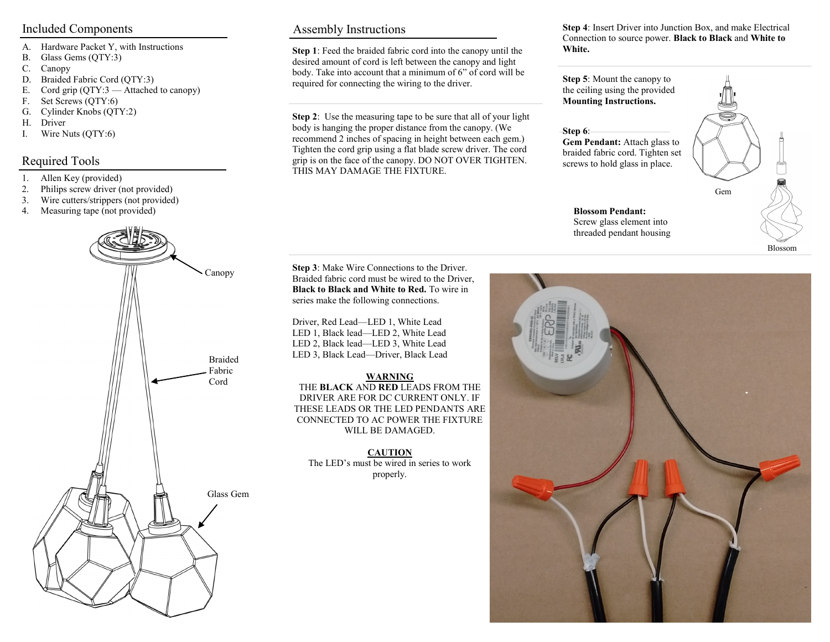- A. Hardware Packet Y, with Instructions
- B. Glass Gems (QTY:3)
- C. Canopy
- D. Braided Fabric Cord (QTY:3)
- E. Cord grip (QTY:3 Attached to canopy)
- F. Set Screws (QTY:6)
- G. Cylinder Knobs (QTY:2)
- H. Driver
- I. Wire Nuts (QTY:6)

### Required Tools

- 1. Allen Key (provided)
- 2. Philips screw driver (not provided)
- 3. Wire cutters/strippers (not provided)
- 4. Measuring tape (not provided)



#### Included Components Assembly Instructions

**Step 1**: Feed the braided fabric cord into the canopy until the desired amount of cord is left between the canopy and light body. Take into account that a minimum of 6" of cord will be required for connecting the wiring to the driver.

**Step 2**: Use the measuring tape to be sure that all of your light body is hanging the proper distance from the canopy. (We recommend 2 inches of spacing in height between each gem.) Tighten the cord grip using a flat blade screw driver. The cord grip is on the face of the canopy. DO NOT OVER TIGHTEN. THIS MAY DAMAGE THE FIXTURE.

**Step 4**: Insert Driver into Junction Box, and make Electrical Connection to source power. **Black to Black** and **White to White.**

**Step 6**:



**Step 3**: Make Wire Connections to the Driver. Braided fabric cord must be wired to the Driver, **Black to Black and White to Red.** To wire in series make the following connections.

Driver, Red Lead—LED 1, White Lead LED 1, Black lead—LED 2, White Lead LED 2, Black lead—LED 3, White Lead LED 3, Black Lead—Driver, Black Lead

#### **WARNING**

THE **BLACK** AND **RED** LEADS FROM THE DRIVER ARE FOR DC CURRENT ONLY. IF THESE LEADS OR THE LED PENDANTS ARE CONNECTED TO AC POWER THE FIXTURE WILL BE DAMAGED.

**CAUTION** The LED's must be wired in series to work properly.